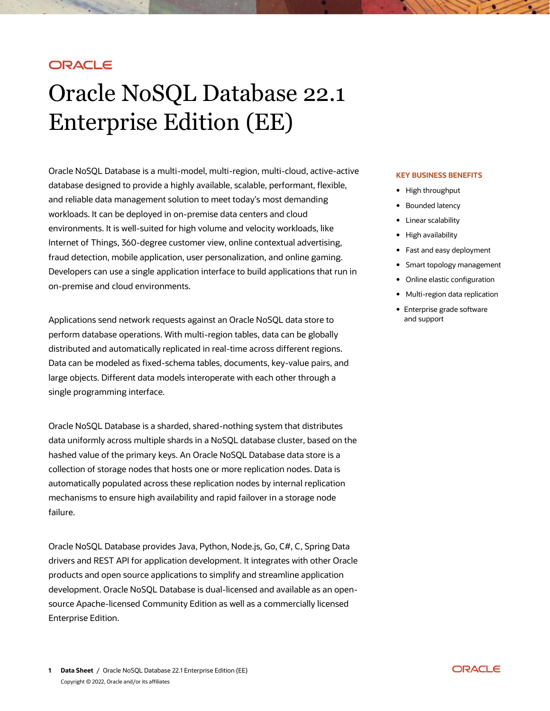# ORACLE

# Oracle NoSQL Database 22.1 Enterprise Edition (EE)

Oracle NoSQL Database is a multi-model, multi-region, multi-cloud, active-active database designed to provide a highly available, scalable, performant, flexible, and reliable data management solution to meet today's most demanding workloads. It can be deployed in on-premise data centers and cloud environments. It is well-suited for high volume and velocity workloads, like Internet of Things, 360-degree customer view, online contextual advertising, fraud detection, mobile application, user personalization, and online gaming. Developers can use a single application interface to build applications that run in on-premise and cloud environments.

Applications send network requests against an Oracle NoSQL data store to perform database operations. With multi-region tables, data can be globally distributed and automatically replicated in real-time across different regions. Data can be modeled as fixed-schema tables, documents, key-value pairs, and large objects. Different data models interoperate with each other through a single programming interface.

Oracle NoSQL Database is a sharded, shared-nothing system that distributes data uniformly across multiple shards in a NoSQL database cluster, based on the hashed value of the primary keys. An Oracle NoSQL Database data store is a collection of storage nodes that hosts one or more replication nodes. Data is automatically populated across these replication nodes by internal replication mechanisms to ensure high availability and rapid failover in a storage node failure.

Oracle NoSQL Database provides Java, Python, Node.js, Go, C#, C, Spring Data drivers and REST API for application development. It integrates with other Oracle products and open source applications to simplify and streamline application development. Oracle NoSQL Database is dual-licensed and available as an opensource Apache-licensed Community Edition as well as a commercially licensed Enterprise Edition.

#### **KEY BUSINESS BENEFITS**

- High throughput
- Bounded latency
- Linear scalability
- High availability
- Fast and easy deployment
- Smart topology management
- Online elastic configuration
- Multi-region data replication
- Enterprise grade software and support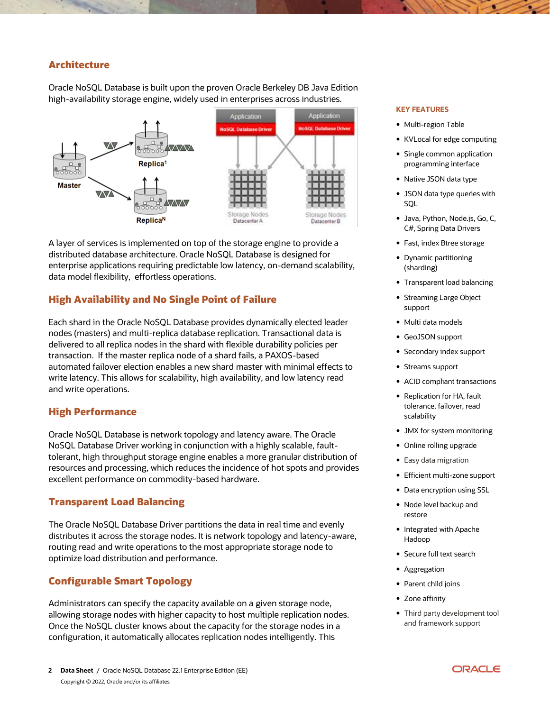## **Architecture**

Oracle NoSQL Database is built upon the proven Oracle Berkeley DB Java Edition high-availability storage engine, widely used in enterprises across industries.



A layer of services is implemented on top of the storage engine to provide a distributed database architecture. Oracle NoSQL Database is designed for enterprise applications requiring predictable low latency, on-demand scalability, data model flexibility, effortless operations.

## **High Availability and No Single Point of Failure**

Each shard in the Oracle NoSQL Database provides dynamically elected leader nodes (masters) and multi-replica database replication. Transactional data is delivered to all replica nodes in the shard with flexible durability policies per transaction. If the master replica node of a shard fails, a PAXOS-based automated failover election enables a new shard master with minimal effects to write latency. This allows for scalability, high availability, and low latency read and write operations.

#### **High Performance**

Oracle NoSQL Database is network topology and latency aware. The Oracle NoSQL Database Driver working in conjunction with a highly scalable, faulttolerant, high throughput storage engine enables a more granular distribution of resources and processing, which reduces the incidence of hot spots and provides excellent performance on commodity-based hardware.

## **Transparent Load Balancing**

The Oracle NoSQL Database Driver partitions the data in real time and evenly distributes it across the storage nodes. It is network topology and latency-aware, routing read and write operations to the most appropriate storage node to optimize load distribution and performance.

## **Configurable Smart Topology**

Administrators can specify the capacity available on a given storage node, allowing storage nodes with higher capacity to host multiple replication nodes. Once the NoSQL cluster knows about the capacity for the storage nodes in a configuration, it automatically allocates replication nodes intelligently. This

#### **KEY FEATURES**

- Multi-region Table
- KVLocal for edge computing
- Single common application programming interface
- Native JSON data type
- JSON data type queries with SQL
- Java, Python, Node.js, Go, C, C#, Spring Data Drivers
- Fast, index Btree storage
- Dynamic partitioning (sharding)
- Transparent load balancing
- Streaming Large Object support
- Multi data models
- GeoJSON support
- Secondary index support
- Streams support
- ACID compliant transactions
- Replication for HA, fault tolerance, failover, read scalability
- JMX for system monitoring
- Online rolling upgrade
- Easy data migration
- Efficient multi-zone support
- Data encryption using SSL
- Node level backup and restore
- Integrated with Apache Hadoop
- Secure full text search
- Aggregation
- Parent child joins
- Zone affinity
- Third party development tool and framework support

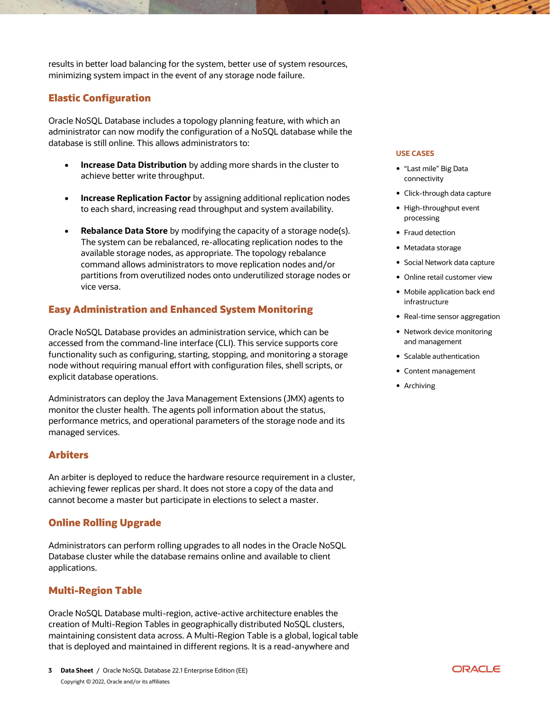results in better load balancing for the system, better use of system resources, minimizing system impact in the event of any storage node failure.

# **Elastic Configuration**

Oracle NoSQL Database includes a topology planning feature, with which an administrator can now modify the configuration of a NoSQL database while the database is still online. This allows administrators to:

- **Increase Data Distribution** by adding more shards in the cluster to achieve better write throughput.
- **Increase Replication Factor** by assigning additional replication nodes to each shard, increasing read throughput and system availability.
- **Rebalance Data Store** by modifying the capacity of a storage node(s). The system can be rebalanced, re-allocating replication nodes to the available storage nodes, as appropriate. The topology rebalance command allows administrators to move replication nodes and/or partitions from overutilized nodes onto underutilized storage nodes or vice versa.

# **Easy Administration and Enhanced System Monitoring**

Oracle NoSQL Database provides an administration service, which can be accessed from the command-line interface (CLI). This service supports core functionality such as configuring, starting, stopping, and monitoring a storage node without requiring manual effort with configuration files, shell scripts, or explicit database operations.

Administrators can deploy the Java Management Extensions (JMX) agents to monitor the cluster health. The agents poll information about the status, performance metrics, and operational parameters of the storage node and its managed services.

# **Arbiters**

An arbiter is deployed to reduce the hardware resource requirement in a cluster, achieving fewer replicas per shard. It does not store a copy of the data and cannot become a master but participate in elections to select a master.

# **Online Rolling Upgrade**

Administrators can perform rolling upgrades to all nodes in the Oracle NoSQL Database cluster while the database remains online and available to client applications.

# **Multi-Region Table**

Oracle NoSQL Database multi-region, active-active architecture enables the creation of Multi-Region Tables in geographically distributed NoSQL clusters, maintaining consistent data across. A Multi-Region Table is a global, logical table that is deployed and maintained in different regions. It is a read-anywhere and

#### **USE CASES**

- "Last mile" Big Data connectivity
- Click-through data capture
- High-throughput event processing
- Fraud detection
- Metadata storage
- Social Network data capture
- Online retail customer view
- Mobile application back end infrastructure
- Real-time sensor aggregation
- Network device monitoring and management
- Scalable authentication
- Content management
- Archiving

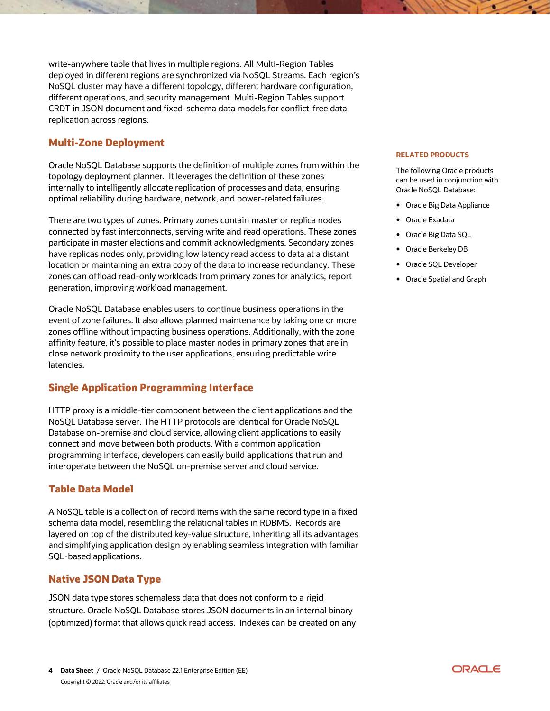write-anywhere table that lives in multiple regions. All Multi-Region Tables deployed in different regions are synchronized via NoSQL Streams. Each region's NoSQL cluster may have a different topology, different hardware configuration, different operations, and security management. Multi-Region Tables support CRDT in JSON document and fixed-schema data models for conflict-free data replication across regions.

# **Multi-Zone Deployment**

Oracle NoSQL Database supports the definition of multiple zones from within the topology deployment planner. It leverages the definition of these zones internally to intelligently allocate replication of processes and data, ensuring optimal reliability during hardware, network, and power-related failures.

There are two types of zones. Primary zones contain master or replica nodes connected by fast interconnects, serving write and read operations. These zones participate in master elections and commit acknowledgments. Secondary zones have replicas nodes only, providing low latency read access to data at a distant location or maintaining an extra copy of the data to increase redundancy. These zones can offload read-only workloads from primary zones for analytics, report generation, improving workload management.

Oracle NoSQL Database enables users to continue business operations in the event of zone failures. It also allows planned maintenance by taking one or more zones offline without impacting business operations. Additionally, with the zone affinity feature, it's possible to place master nodes in primary zones that are in close network proximity to the user applications, ensuring predictable write latencies.

# **Single Application Programming Interface**

HTTP proxy is a middle-tier component between the client applications and the NoSQL Database server. The HTTP protocols are identical for Oracle NoSQL Database on-premise and cloud service, allowing client applications to easily connect and move between both products. With a common application programming interface, developers can easily build applications that run and interoperate between the NoSQL on-premise server and cloud service.

# **Table Data Model**

A NoSQL table is a collection of record items with the same record type in a fixed schema data model, resembling the relational tables in RDBMS. Records are layered on top of the distributed key-value structure, inheriting all its advantages and simplifying application design by enabling seamless integration with familiar SQL-based applications.

## **Native JSON Data Type**

JSON data type stores schemaless data that does not conform to a rigid structure. Oracle NoSQL Database stores JSON documents in an internal binary (optimized) format that allows quick read access. Indexes can be created on any

#### **RELATED PRODUCTS**

The following Oracle products can be used in conjunction with Oracle NoSQL Database:

- Oracle Big Data Appliance
- Oracle Exadata
- Oracle Big Data SQL
- Oracle Berkeley DB
- Oracle SQL Developer
- Oracle Spatial and Graph

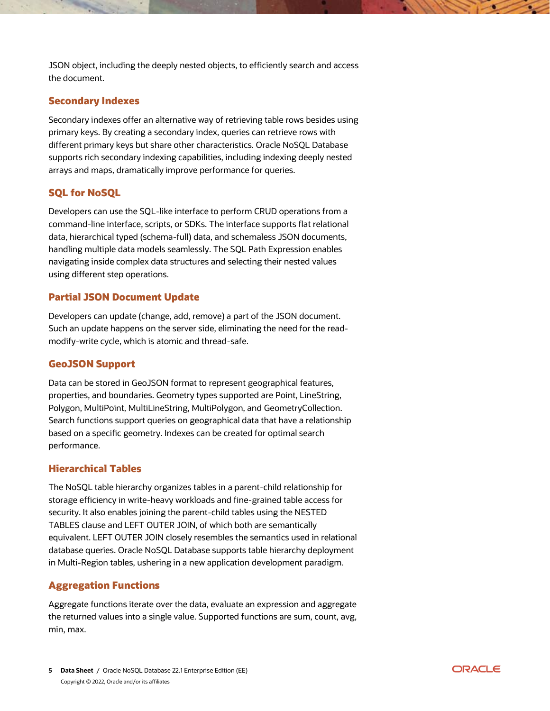JSON object, including the deeply nested objects, to efficiently search and access the document.

## **Secondary Indexes**

Secondary indexes offer an alternative way of retrieving table rows besides using primary keys. By creating a secondary index, queries can retrieve rows with different primary keys but share other characteristics. Oracle NoSQL Database supports rich secondary indexing capabilities, including indexing deeply nested arrays and maps, dramatically improve performance for queries.

# **SQL for NoSQL**

Developers can use the SQL-like interface to perform CRUD operations from a command-line interface, scripts, or SDKs. The interface supports flat relational data, hierarchical typed (schema-full) data, and schemaless JSON documents, handling multiple data models seamlessly. The SQL Path Expression enables navigating inside complex data structures and selecting their nested values using different step operations.

# **Partial JSON Document Update**

Developers can update (change, add, remove) a part of the JSON document. Such an update happens on the server side, eliminating the need for the readmodify-write cycle, which is atomic and thread-safe.

# **GeoJSON Support**

Data can be stored in GeoJSON format to represent geographical features, properties, and boundaries. Geometry types supported are Point, LineString, Polygon, MultiPoint, MultiLineString, MultiPolygon, and GeometryCollection. Search functions support queries on geographical data that have a relationship based on a specific geometry. Indexes can be created for optimal search performance.

## **Hierarchical Tables**

The NoSQL table hierarchy organizes tables in a parent-child relationship for storage efficiency in write-heavy workloads and fine-grained table access for security. It also enables joining the parent-child tables using the NESTED TABLES clause and LEFT OUTER JOIN, of which both are semantically equivalent. LEFT OUTER JOIN closely resembles the semantics used in relational database queries. Oracle NoSQL Database supports table hierarchy deployment in Multi-Region tables, ushering in a new application development paradigm.

# **Aggregation Functions**

Aggregate functions iterate over the data, evaluate an expression and aggregate the returned values into a single value. Supported functions are sum, count, avg, min, max.

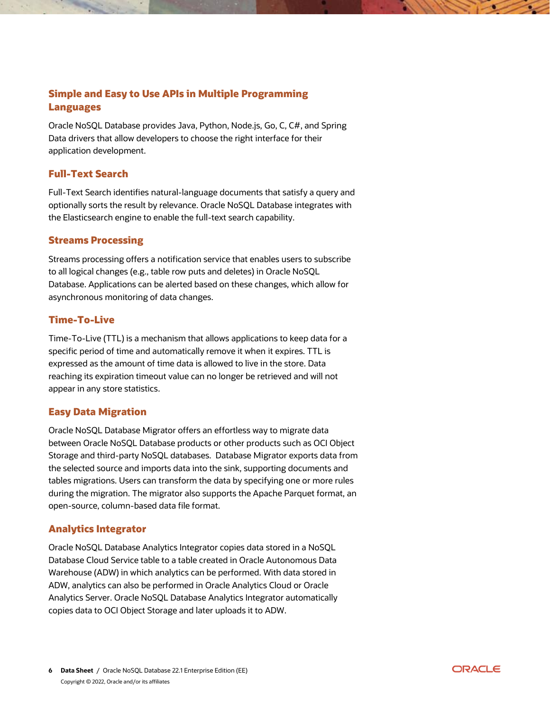# **Simple and Easy to Use APIs in Multiple Programming Languages**

Oracle NoSQL Database provides Java, Python, Node.js, Go, C, C#, and Spring Data drivers that allow developers to choose the right interface for their application development.

## **Full-Text Search**

Full-Text Search identifies natural-language documents that satisfy a query and optionally sorts the result by relevance. Oracle NoSQL Database integrates with the Elasticsearch engine to enable the full-text search capability.

## **Streams Processing**

Streams processing offers a notification service that enables users to subscribe to all logical changes (e.g., table row puts and deletes) in Oracle NoSQL Database. Applications can be alerted based on these changes, which allow for asynchronous monitoring of data changes.

#### **Time-To-Live**

Time-To-Live (TTL) is a mechanism that allows applications to keep data for a specific period of time and automatically remove it when it expires. TTL is expressed as the amount of time data is allowed to live in the store. Data reaching its expiration timeout value can no longer be retrieved and will not appear in any store statistics.

#### **Easy Data Migration**

Oracle NoSQL Database Migrator offers an effortless way to migrate data between Oracle NoSQL Database products or other products such as OCI Object Storage and third-party NoSQL databases. Database Migrator exports data from the selected source and imports data into the sink, supporting documents and tables migrations. Users can transform the data by specifying one or more rules during the migration. The migrator also supports the Apache Parquet format, an open-source, column-based data file format.

## **Analytics Integrator**

Oracle NoSQL Database Analytics Integrator copies data stored in a NoSQL Database Cloud Service table to a table created in Oracle Autonomous Data Warehouse (ADW) in which analytics can be performed. With data stored in ADW, analytics can also be performed in Oracle Analytics Cloud or Oracle Analytics Server. Oracle NoSQL Database Analytics Integrator automatically copies data to OCI Object Storage and later uploads it to ADW.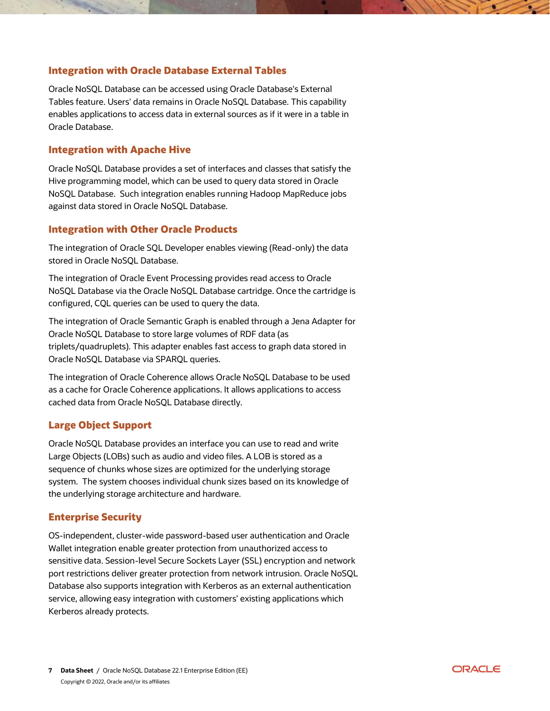## **Integration with Oracle Database External Tables**

Oracle NoSQL Database can be accessed using Oracle Database's External Tables feature. Users' data remains in Oracle NoSQL Database. This capability enables applications to access data in external sources as if it were in a table in Oracle Database.

#### **Integration with Apache Hive**

Oracle NoSQL Database provides a set of interfaces and classes that satisfy the Hive programming model, which can be used to query data stored in Oracle NoSQL Database. Such integration enables running Hadoop MapReduce jobs against data stored in Oracle NoSQL Database.

#### **Integration with Other Oracle Products**

The integration of Oracle SQL Developer enables viewing (Read-only) the data stored in Oracle NoSQL Database.

The integration of Oracle Event Processing provides read access to Oracle NoSQL Database via the Oracle NoSQL Database cartridge. Once the cartridge is configured, CQL queries can be used to query the data.

The integration of Oracle Semantic Graph is enabled through a Jena Adapter for Oracle NoSQL Database to store large volumes of RDF data (as triplets/quadruplets). This adapter enables fast access to graph data stored in Oracle NoSQL Database via SPARQL queries.

The integration of Oracle Coherence allows Oracle NoSQL Database to be used as a cache for Oracle Coherence applications. It allows applications to access cached data from Oracle NoSQL Database directly.

## **Large Object Support**

Oracle NoSQL Database provides an interface you can use to read and write Large Objects (LOBs) such as audio and video files. A LOB is stored as a sequence of chunks whose sizes are optimized for the underlying storage system. The system chooses individual chunk sizes based on its knowledge of the underlying storage architecture and hardware.

#### **Enterprise Security**

OS-independent, cluster-wide password-based user authentication and Oracle Wallet integration enable greater protection from unauthorized access to sensitive data. Session-level Secure Sockets Layer (SSL) encryption and network port restrictions deliver greater protection from network intrusion. Oracle NoSQL Database also supports integration with Kerberos as an external authentication service, allowing easy integration with customers' existing applications which Kerberos already protects.